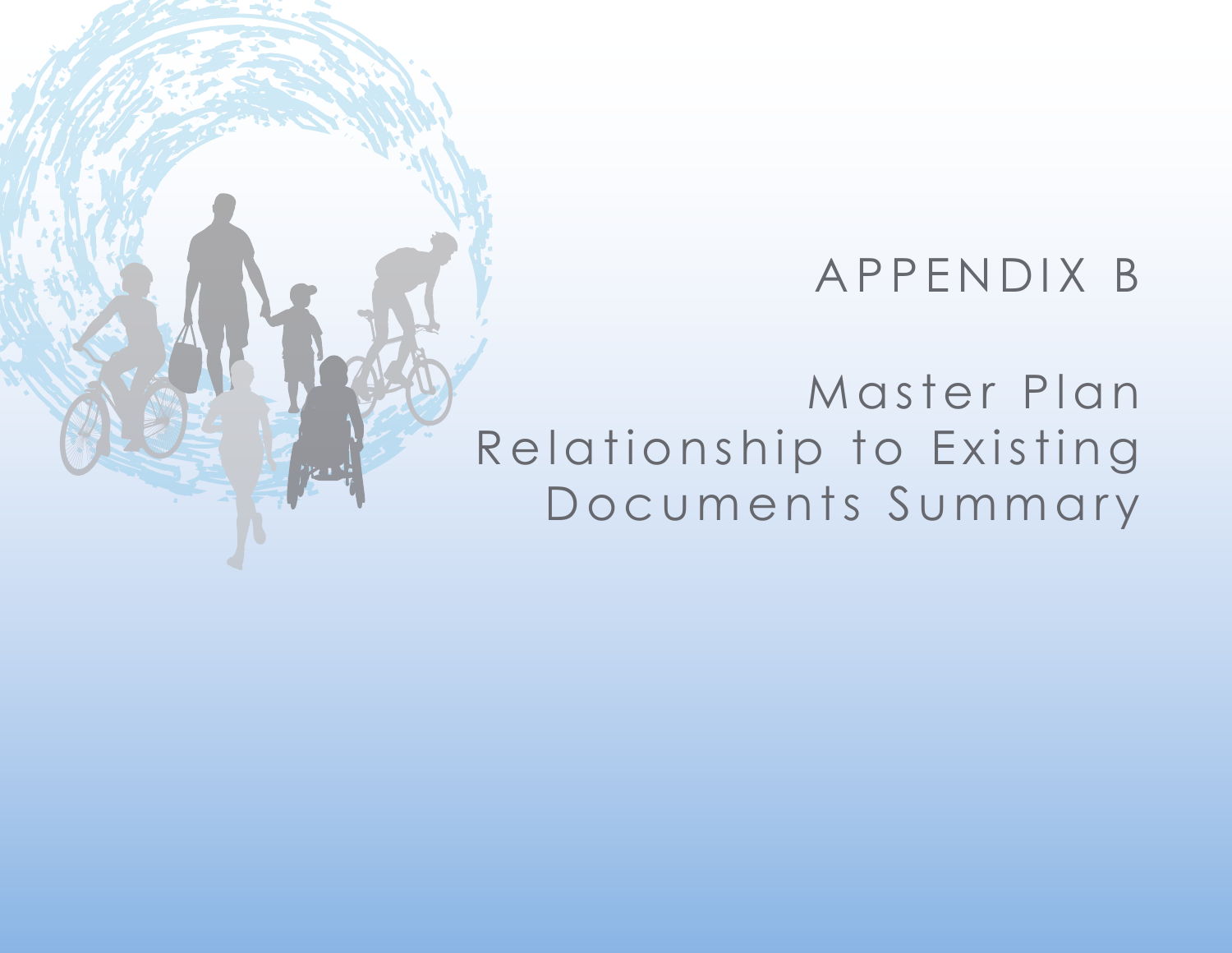## APPENDIX B

Master Plan Relationship to Existing Documents Summary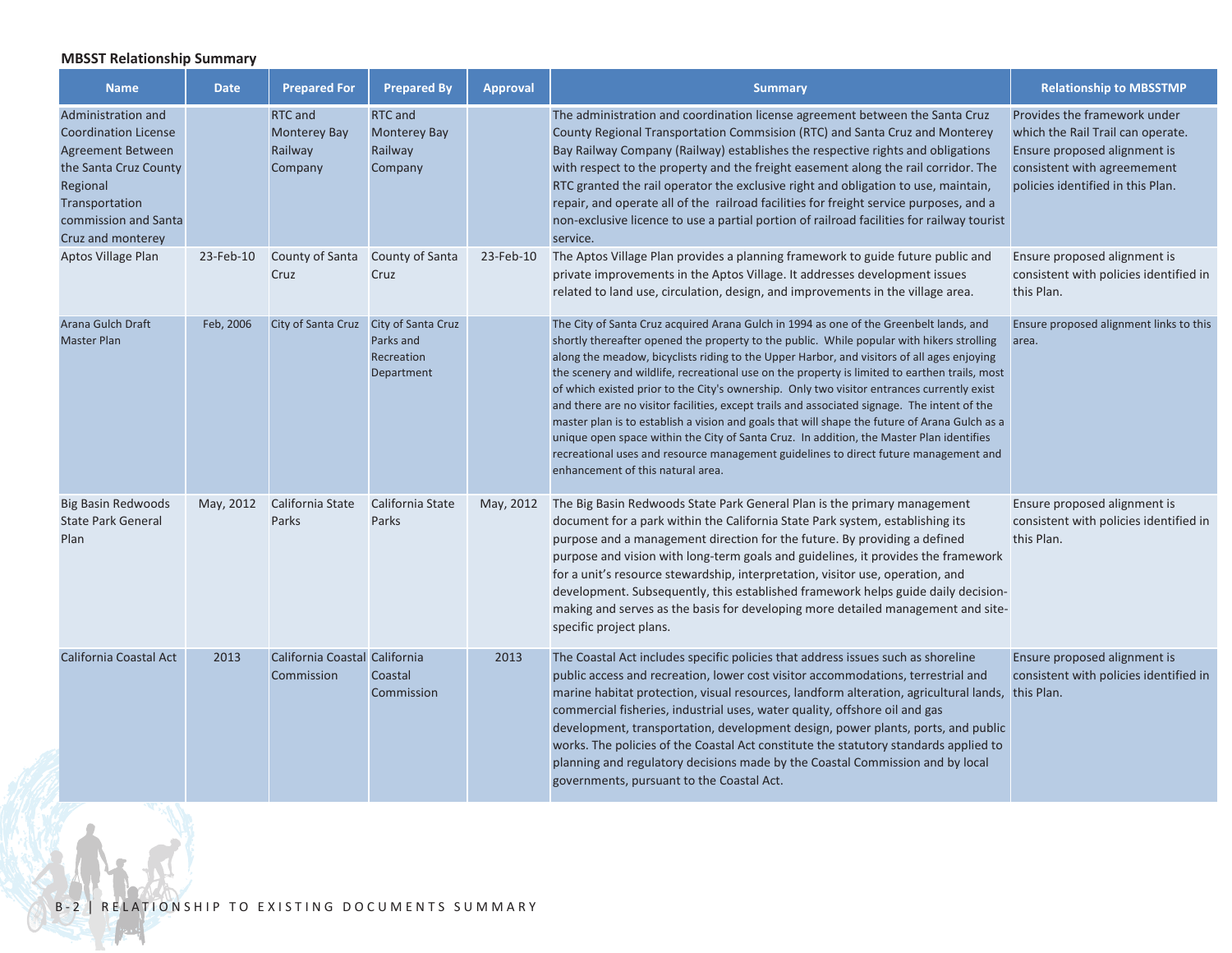## **MBSST Relationship Summary**

| <b>Name</b>                                                                                                                                                                | <b>Date</b> | <b>Prepared For</b>                                  | <b>Prepared By</b>                                   | <b>Approval</b> | <b>Summary</b>                                                                                                                                                                                                                                                                                                                                                                                                                                                                                                                                                                                                                                                                                                                                                                                                                                                                                             | <b>Relationship to MBSSTMP</b>                                                                                                                                        |
|----------------------------------------------------------------------------------------------------------------------------------------------------------------------------|-------------|------------------------------------------------------|------------------------------------------------------|-----------------|------------------------------------------------------------------------------------------------------------------------------------------------------------------------------------------------------------------------------------------------------------------------------------------------------------------------------------------------------------------------------------------------------------------------------------------------------------------------------------------------------------------------------------------------------------------------------------------------------------------------------------------------------------------------------------------------------------------------------------------------------------------------------------------------------------------------------------------------------------------------------------------------------------|-----------------------------------------------------------------------------------------------------------------------------------------------------------------------|
| Administration and<br><b>Coordination License</b><br>Agreement Between<br>the Santa Cruz County<br>Regional<br>Transportation<br>commission and Santa<br>Cruz and monterey |             | RTC and<br><b>Monterey Bay</b><br>Railway<br>Company | RTC and<br><b>Monterey Bay</b><br>Railway<br>Company |                 | The administration and coordination license agreement between the Santa Cruz<br>County Regional Transportation Commsision (RTC) and Santa Cruz and Monterey<br>Bay Railway Company (Railway) establishes the respective rights and obligations<br>with respect to the property and the freight easement along the rail corridor. The<br>RTC granted the rail operator the exclusive right and obligation to use, maintain,<br>repair, and operate all of the railroad facilities for freight service purposes, and a<br>non-exclusive licence to use a partial portion of railroad facilities for railway tourist<br>service.                                                                                                                                                                                                                                                                              | Provides the framework under<br>which the Rail Trail can operate.<br>Ensure proposed alignment is<br>consistent with agreemement<br>policies identified in this Plan. |
| Aptos Village Plan                                                                                                                                                         | 23-Feb-10   | County of Santa<br>Cruz                              | County of Santa<br>Cruz                              | 23-Feb-10       | The Aptos Village Plan provides a planning framework to guide future public and<br>private improvements in the Aptos Village. It addresses development issues<br>related to land use, circulation, design, and improvements in the village area.                                                                                                                                                                                                                                                                                                                                                                                                                                                                                                                                                                                                                                                           | Ensure proposed alignment is<br>consistent with policies identified in<br>this Plan.                                                                                  |
| Arana Gulch Draft<br><b>Master Plan</b>                                                                                                                                    | Feb, 2006   | City of Santa Cruz City of Santa Cruz                | Parks and<br>Recreation<br>Department                |                 | The City of Santa Cruz acquired Arana Gulch in 1994 as one of the Greenbelt lands, and<br>shortly thereafter opened the property to the public. While popular with hikers strolling<br>along the meadow, bicyclists riding to the Upper Harbor, and visitors of all ages enjoying<br>the scenery and wildlife, recreational use on the property is limited to earthen trails, most<br>of which existed prior to the City's ownership. Only two visitor entrances currently exist<br>and there are no visitor facilities, except trails and associated signage. The intent of the<br>master plan is to establish a vision and goals that will shape the future of Arana Gulch as a<br>unique open space within the City of Santa Cruz. In addition, the Master Plan identifies<br>recreational uses and resource management guidelines to direct future management and<br>enhancement of this natural area. | Ensure proposed alignment links to this<br>area.                                                                                                                      |
| <b>Big Basin Redwoods</b><br><b>State Park General</b><br>Plan                                                                                                             | May, 2012   | California State<br>Parks                            | California State<br>Parks                            | May, 2012       | The Big Basin Redwoods State Park General Plan is the primary management<br>document for a park within the California State Park system, establishing its<br>purpose and a management direction for the future. By providing a defined<br>purpose and vision with long-term goals and guidelines, it provides the framework<br>for a unit's resource stewardship, interpretation, visitor use, operation, and<br>development. Subsequently, this established framework helps guide daily decision-<br>making and serves as the basis for developing more detailed management and site-<br>specific project plans.                                                                                                                                                                                                                                                                                          | Ensure proposed alignment is<br>consistent with policies identified in<br>this Plan.                                                                                  |
| <b>California Coastal Act</b>                                                                                                                                              | 2013        | California Coastal California<br>Commission          | Coastal<br>Commission                                | 2013            | The Coastal Act includes specific policies that address issues such as shoreline<br>public access and recreation, lower cost visitor accommodations, terrestrial and<br>marine habitat protection, visual resources, landform alteration, agricultural lands, this Plan.<br>commercial fisheries, industrial uses, water quality, offshore oil and gas<br>development, transportation, development design, power plants, ports, and public<br>works. The policies of the Coastal Act constitute the statutory standards applied to<br>planning and regulatory decisions made by the Coastal Commission and by local<br>governments, pursuant to the Coastal Act.                                                                                                                                                                                                                                           | Ensure proposed alignment is<br>consistent with policies identified in                                                                                                |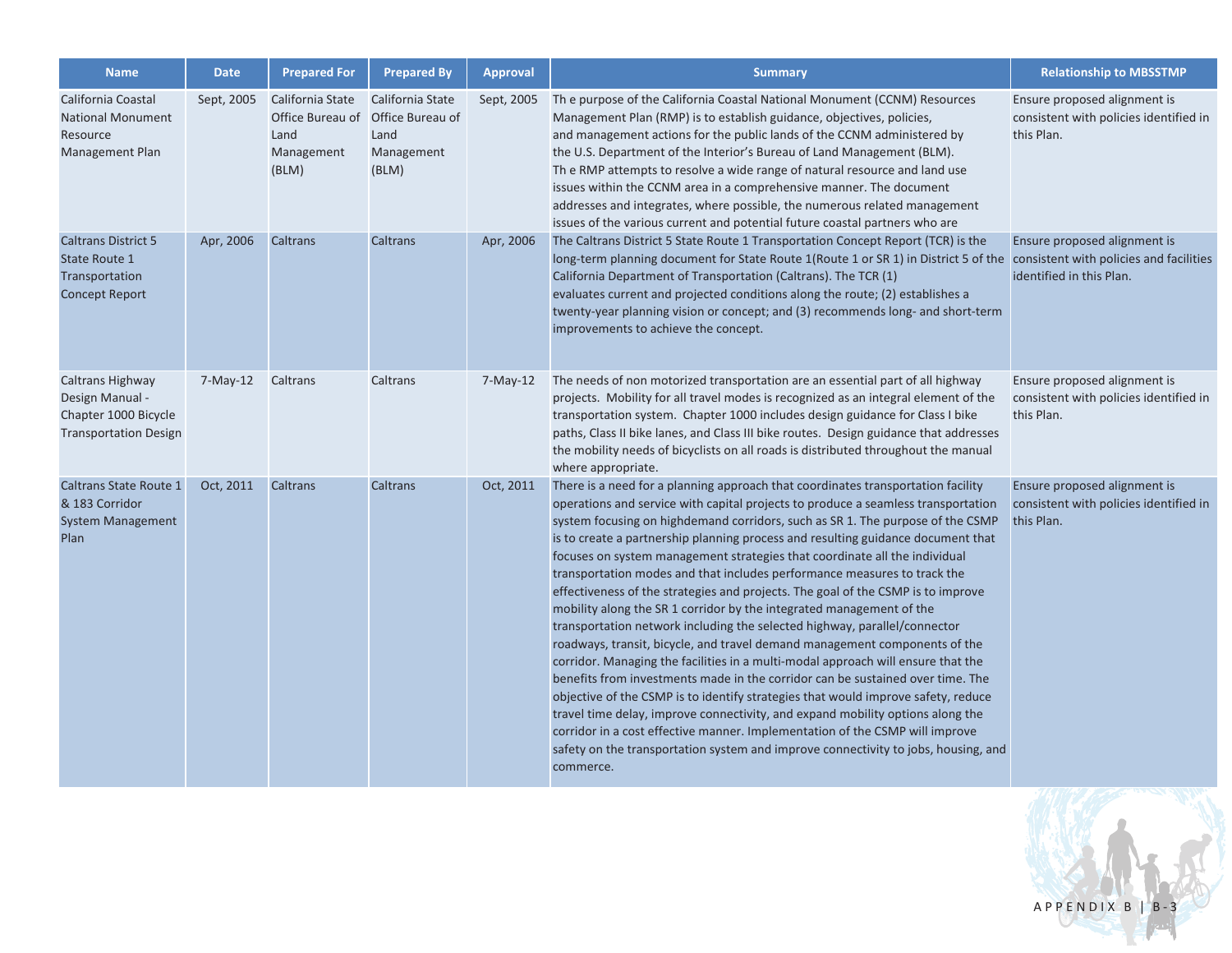| <b>Name</b>                                                                                 | <b>Date</b> | <b>Prepared For</b>                                                 | <b>Prepared By</b>                                                  | <b>Approval</b> | <b>Summary</b>                                                                                                                                                                                                                                                                                                                                                                                                                                                                                                                                                                                                                                                                                                                                                                                                                                                                                                                                                                                                                                                                                                                                                                                                                                                                                                                                               | <b>Relationship to MBSSTMP</b>                                                       |
|---------------------------------------------------------------------------------------------|-------------|---------------------------------------------------------------------|---------------------------------------------------------------------|-----------------|--------------------------------------------------------------------------------------------------------------------------------------------------------------------------------------------------------------------------------------------------------------------------------------------------------------------------------------------------------------------------------------------------------------------------------------------------------------------------------------------------------------------------------------------------------------------------------------------------------------------------------------------------------------------------------------------------------------------------------------------------------------------------------------------------------------------------------------------------------------------------------------------------------------------------------------------------------------------------------------------------------------------------------------------------------------------------------------------------------------------------------------------------------------------------------------------------------------------------------------------------------------------------------------------------------------------------------------------------------------|--------------------------------------------------------------------------------------|
| California Coastal<br><b>National Monument</b><br>Resource<br>Management Plan               | Sept, 2005  | California State<br>Office Bureau of<br>Land<br>Management<br>(BLM) | California State<br>Office Bureau of<br>Land<br>Management<br>(BLM) | Sept, 2005      | Th e purpose of the California Coastal National Monument (CCNM) Resources<br>Management Plan (RMP) is to establish guidance, objectives, policies,<br>and management actions for the public lands of the CCNM administered by<br>the U.S. Department of the Interior's Bureau of Land Management (BLM).<br>The RMP attempts to resolve a wide range of natural resource and land use<br>issues within the CCNM area in a comprehensive manner. The document<br>addresses and integrates, where possible, the numerous related management<br>issues of the various current and potential future coastal partners who are                                                                                                                                                                                                                                                                                                                                                                                                                                                                                                                                                                                                                                                                                                                                      | Ensure proposed alignment is<br>consistent with policies identified in<br>this Plan. |
| <b>Caltrans District 5</b><br>State Route 1<br>Transportation<br><b>Concept Report</b>      | Apr, 2006   | Caltrans                                                            | Caltrans                                                            | Apr, 2006       | The Caltrans District 5 State Route 1 Transportation Concept Report (TCR) is the<br>long-term planning document for State Route 1(Route 1 or SR 1) in District 5 of the consistent with policies and facilities<br>California Department of Transportation (Caltrans). The TCR (1)<br>evaluates current and projected conditions along the route; (2) establishes a<br>twenty-year planning vision or concept; and (3) recommends long- and short-term<br>improvements to achieve the concept.                                                                                                                                                                                                                                                                                                                                                                                                                                                                                                                                                                                                                                                                                                                                                                                                                                                               | Ensure proposed alignment is<br>identified in this Plan.                             |
| Caltrans Highway<br>Design Manual -<br>Chapter 1000 Bicycle<br><b>Transportation Design</b> | $7-May-12$  | Caltrans                                                            | Caltrans                                                            | $7-May-12$      | The needs of non motorized transportation are an essential part of all highway<br>projects. Mobility for all travel modes is recognized as an integral element of the<br>transportation system. Chapter 1000 includes design guidance for Class I bike<br>paths, Class II bike lanes, and Class III bike routes. Design guidance that addresses<br>the mobility needs of bicyclists on all roads is distributed throughout the manual<br>where appropriate.                                                                                                                                                                                                                                                                                                                                                                                                                                                                                                                                                                                                                                                                                                                                                                                                                                                                                                  | Ensure proposed alignment is<br>consistent with policies identified in<br>this Plan. |
| Caltrans State Route 1<br>& 183 Corridor<br><b>System Management</b><br>Plan                | Oct, 2011   | Caltrans                                                            | Caltrans                                                            | Oct, 2011       | There is a need for a planning approach that coordinates transportation facility<br>operations and service with capital projects to produce a seamless transportation<br>system focusing on highdemand corridors, such as SR 1. The purpose of the CSMP<br>is to create a partnership planning process and resulting guidance document that<br>focuses on system management strategies that coordinate all the individual<br>transportation modes and that includes performance measures to track the<br>effectiveness of the strategies and projects. The goal of the CSMP is to improve<br>mobility along the SR 1 corridor by the integrated management of the<br>transportation network including the selected highway, parallel/connector<br>roadways, transit, bicycle, and travel demand management components of the<br>corridor. Managing the facilities in a multi-modal approach will ensure that the<br>benefits from investments made in the corridor can be sustained over time. The<br>objective of the CSMP is to identify strategies that would improve safety, reduce<br>travel time delay, improve connectivity, and expand mobility options along the<br>corridor in a cost effective manner. Implementation of the CSMP will improve<br>safety on the transportation system and improve connectivity to jobs, housing, and<br>commerce. | Ensure proposed alignment is<br>consistent with policies identified in<br>this Plan. |

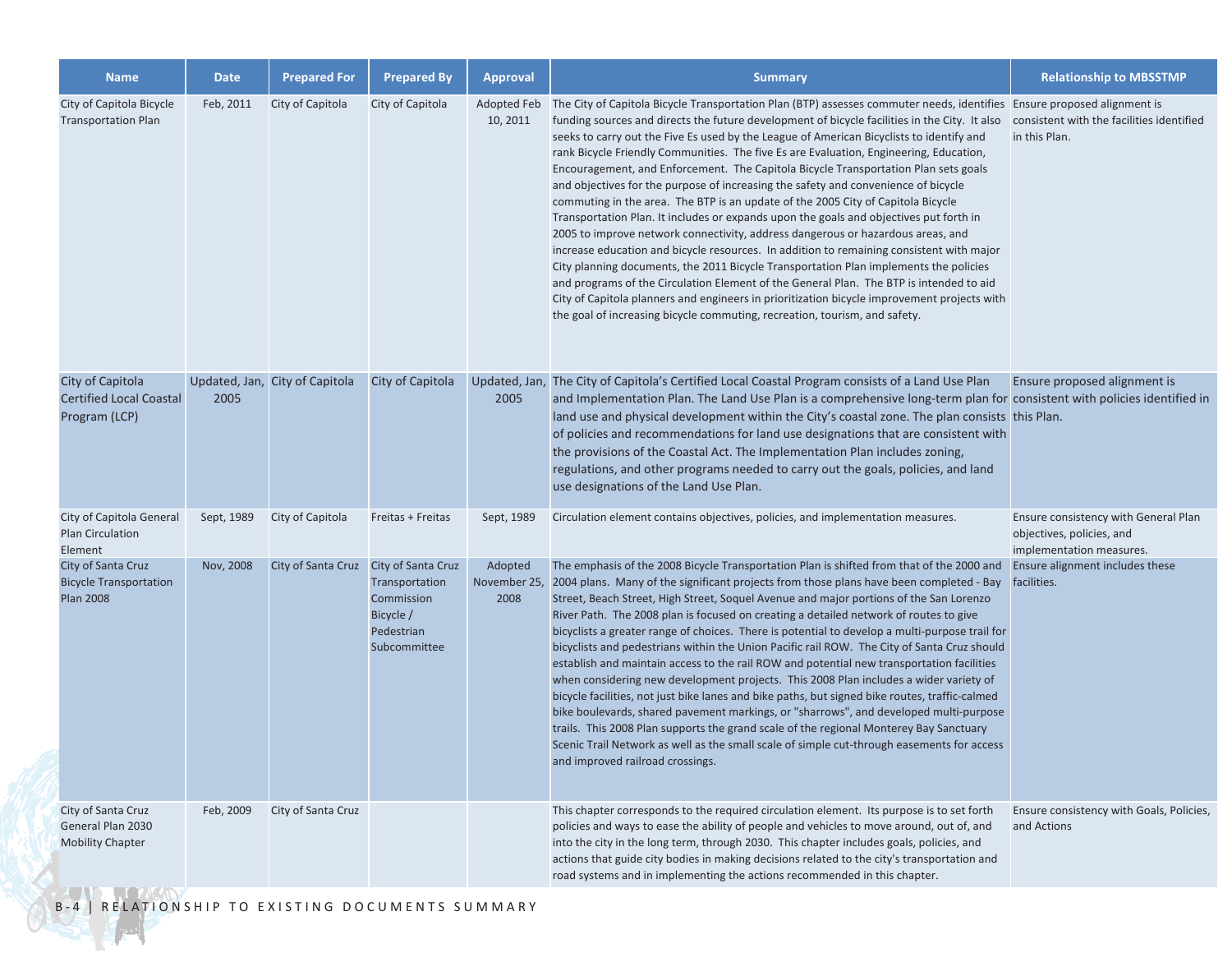| <b>Name</b>                                                             | <b>Date</b> | <b>Prepared For</b>            | <b>Prepared By</b>                                                                            | <b>Approval</b>                 | <b>Summary</b>                                                                                                                                                                                                                                                                                                                                                                                                                                                                                                                                                                                                                                                                                                                                                                                                                                                                                                                                                                                                                                                                                                                                                                                                                                                                                                                                                                  | <b>Relationship to MBSSTMP</b>                                                                |
|-------------------------------------------------------------------------|-------------|--------------------------------|-----------------------------------------------------------------------------------------------|---------------------------------|---------------------------------------------------------------------------------------------------------------------------------------------------------------------------------------------------------------------------------------------------------------------------------------------------------------------------------------------------------------------------------------------------------------------------------------------------------------------------------------------------------------------------------------------------------------------------------------------------------------------------------------------------------------------------------------------------------------------------------------------------------------------------------------------------------------------------------------------------------------------------------------------------------------------------------------------------------------------------------------------------------------------------------------------------------------------------------------------------------------------------------------------------------------------------------------------------------------------------------------------------------------------------------------------------------------------------------------------------------------------------------|-----------------------------------------------------------------------------------------------|
| City of Capitola Bicycle<br><b>Transportation Plan</b>                  | Feb, 2011   | City of Capitola               | City of Capitola                                                                              | 10, 2011                        | Adopted Feb The City of Capitola Bicycle Transportation Plan (BTP) assesses commuter needs, identifies Ensure proposed alignment is<br>funding sources and directs the future development of bicycle facilities in the City. It also consistent with the facilities identified<br>seeks to carry out the Five Es used by the League of American Bicyclists to identify and<br>rank Bicycle Friendly Communities. The five Es are Evaluation, Engineering, Education,<br>Encouragement, and Enforcement. The Capitola Bicycle Transportation Plan sets goals<br>and objectives for the purpose of increasing the safety and convenience of bicycle<br>commuting in the area. The BTP is an update of the 2005 City of Capitola Bicycle<br>Transportation Plan. It includes or expands upon the goals and objectives put forth in<br>2005 to improve network connectivity, address dangerous or hazardous areas, and<br>increase education and bicycle resources. In addition to remaining consistent with major<br>City planning documents, the 2011 Bicycle Transportation Plan implements the policies<br>and programs of the Circulation Element of the General Plan. The BTP is intended to aid<br>City of Capitola planners and engineers in prioritization bicycle improvement projects with<br>the goal of increasing bicycle commuting, recreation, tourism, and safety. | in this Plan.                                                                                 |
| City of Capitola<br><b>Certified Local Coastal</b><br>Program (LCP)     | 2005        | Updated, Jan, City of Capitola | City of Capitola                                                                              | 2005                            | Updated, Jan, The City of Capitola's Certified Local Coastal Program consists of a Land Use Plan<br>and Implementation Plan. The Land Use Plan is a comprehensive long-term plan for consistent with policies identified in<br>land use and physical development within the City's coastal zone. The plan consists this Plan.<br>of policies and recommendations for land use designations that are consistent with<br>the provisions of the Coastal Act. The Implementation Plan includes zoning,<br>regulations, and other programs needed to carry out the goals, policies, and land<br>use designations of the Land Use Plan.                                                                                                                                                                                                                                                                                                                                                                                                                                                                                                                                                                                                                                                                                                                                               | Ensure proposed alignment is                                                                  |
| City of Capitola General<br><b>Plan Circulation</b><br>Element          | Sept, 1989  | City of Capitola               | Freitas + Freitas                                                                             | Sept, 1989                      | Circulation element contains objectives, policies, and implementation measures.                                                                                                                                                                                                                                                                                                                                                                                                                                                                                                                                                                                                                                                                                                                                                                                                                                                                                                                                                                                                                                                                                                                                                                                                                                                                                                 | Ensure consistency with General Plan<br>objectives, policies, and<br>implementation measures. |
| City of Santa Cruz<br><b>Bicycle Transportation</b><br><b>Plan 2008</b> | Nov, 2008   | City of Santa Cruz             | City of Santa Cruz<br>Transportation<br>Commission<br>Bicycle /<br>Pedestrian<br>Subcommittee | Adopted<br>November 25,<br>2008 | The emphasis of the 2008 Bicycle Transportation Plan is shifted from that of the 2000 and<br>2004 plans. Many of the significant projects from those plans have been completed - Bay<br>Street, Beach Street, High Street, Soquel Avenue and major portions of the San Lorenzo<br>River Path. The 2008 plan is focused on creating a detailed network of routes to give<br>bicyclists a greater range of choices. There is potential to develop a multi-purpose trail for<br>bicyclists and pedestrians within the Union Pacific rail ROW. The City of Santa Cruz should<br>establish and maintain access to the rail ROW and potential new transportation facilities<br>when considering new development projects. This 2008 Plan includes a wider variety of<br>bicycle facilities, not just bike lanes and bike paths, but signed bike routes, traffic-calmed<br>bike boulevards, shared pavement markings, or "sharrows", and developed multi-purpose<br>trails. This 2008 Plan supports the grand scale of the regional Monterey Bay Sanctuary<br>Scenic Trail Network as well as the small scale of simple cut-through easements for access<br>and improved railroad crossings.                                                                                                                                                                                           | Ensure alignment includes these<br>facilities.                                                |
| City of Santa Cruz<br>General Plan 2030<br><b>Mobility Chapter</b>      | Feb, 2009   | City of Santa Cruz             |                                                                                               |                                 | This chapter corresponds to the required circulation element. Its purpose is to set forth<br>policies and ways to ease the ability of people and vehicles to move around, out of, and<br>into the city in the long term, through 2030. This chapter includes goals, policies, and<br>actions that guide city bodies in making decisions related to the city's transportation and<br>road systems and in implementing the actions recommended in this chapter.                                                                                                                                                                                                                                                                                                                                                                                                                                                                                                                                                                                                                                                                                                                                                                                                                                                                                                                   | Ensure consistency with Goals, Policies,<br>and Actions                                       |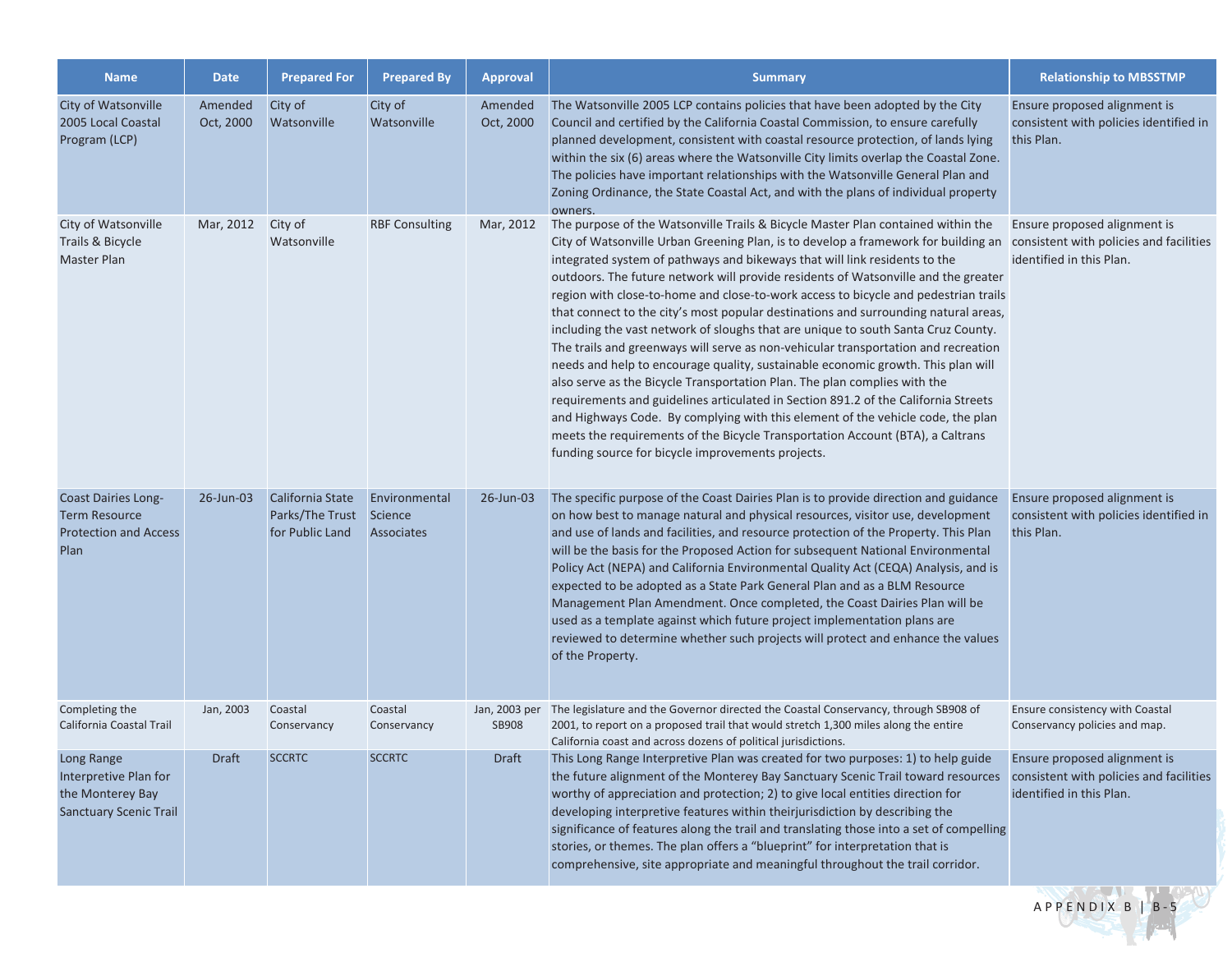| <b>Name</b>                                                                                | <b>Date</b>          | <b>Prepared For</b>                                    | <b>Prepared By</b>                     | <b>Approval</b>      | <b>Summary</b>                                                                                                                                                                                                                                                                                                                                                                                                                                                                                                                                                                                                                                                                                                                                                                                                                                                                                                                                                                                                                                                                                                                                                                       | <b>Relationship to MBSSTMP</b>                                                                      |
|--------------------------------------------------------------------------------------------|----------------------|--------------------------------------------------------|----------------------------------------|----------------------|--------------------------------------------------------------------------------------------------------------------------------------------------------------------------------------------------------------------------------------------------------------------------------------------------------------------------------------------------------------------------------------------------------------------------------------------------------------------------------------------------------------------------------------------------------------------------------------------------------------------------------------------------------------------------------------------------------------------------------------------------------------------------------------------------------------------------------------------------------------------------------------------------------------------------------------------------------------------------------------------------------------------------------------------------------------------------------------------------------------------------------------------------------------------------------------|-----------------------------------------------------------------------------------------------------|
| City of Watsonville<br>2005 Local Coastal<br>Program (LCP)                                 | Amended<br>Oct, 2000 | City of<br>Watsonville                                 | City of<br>Watsonville                 | Amended<br>Oct, 2000 | The Watsonville 2005 LCP contains policies that have been adopted by the City<br>Council and certified by the California Coastal Commission, to ensure carefully<br>planned development, consistent with coastal resource protection, of lands lying<br>within the six (6) areas where the Watsonville City limits overlap the Coastal Zone.<br>The policies have important relationships with the Watsonville General Plan and<br>Zoning Ordinance, the State Coastal Act, and with the plans of individual property<br>owners.                                                                                                                                                                                                                                                                                                                                                                                                                                                                                                                                                                                                                                                     | Ensure proposed alignment is<br>consistent with policies identified in<br>this Plan.                |
| City of Watsonville<br>Trails & Bicycle<br>Master Plan                                     | Mar, 2012            | City of<br>Watsonville                                 | <b>RBF Consulting</b>                  | Mar, 2012            | The purpose of the Watsonville Trails & Bicycle Master Plan contained within the<br>City of Watsonville Urban Greening Plan, is to develop a framework for building an<br>integrated system of pathways and bikeways that will link residents to the<br>outdoors. The future network will provide residents of Watsonville and the greater<br>region with close-to-home and close-to-work access to bicycle and pedestrian trails<br>that connect to the city's most popular destinations and surrounding natural areas,<br>including the vast network of sloughs that are unique to south Santa Cruz County.<br>The trails and greenways will serve as non-vehicular transportation and recreation<br>needs and help to encourage quality, sustainable economic growth. This plan will<br>also serve as the Bicycle Transportation Plan. The plan complies with the<br>requirements and guidelines articulated in Section 891.2 of the California Streets<br>and Highways Code. By complying with this element of the vehicle code, the plan<br>meets the requirements of the Bicycle Transportation Account (BTA), a Caltrans<br>funding source for bicycle improvements projects. | Ensure proposed alignment is<br>consistent with policies and facilities<br>identified in this Plan. |
| <b>Coast Dairies Long-</b><br><b>Term Resource</b><br><b>Protection and Access</b><br>Plan | 26-Jun-03            | California State<br>Parks/The Trust<br>for Public Land | Environmental<br>Science<br>Associates | 26-Jun-03            | The specific purpose of the Coast Dairies Plan is to provide direction and guidance<br>on how best to manage natural and physical resources, visitor use, development<br>and use of lands and facilities, and resource protection of the Property. This Plan<br>will be the basis for the Proposed Action for subsequent National Environmental<br>Policy Act (NEPA) and California Environmental Quality Act (CEQA) Analysis, and is<br>expected to be adopted as a State Park General Plan and as a BLM Resource<br>Management Plan Amendment. Once completed, the Coast Dairies Plan will be<br>used as a template against which future project implementation plans are<br>reviewed to determine whether such projects will protect and enhance the values<br>of the Property.                                                                                                                                                                                                                                                                                                                                                                                                   | Ensure proposed alignment is<br>consistent with policies identified in<br>this Plan.                |
| Completing the<br>California Coastal Trail                                                 | Jan, 2003            | Coastal<br>Conservancy                                 | Coastal<br>Conservancy                 | <b>SB908</b>         | Jan, 2003 per The legislature and the Governor directed the Coastal Conservancy, through SB908 of<br>2001, to report on a proposed trail that would stretch 1,300 miles along the entire<br>California coast and across dozens of political jurisdictions.                                                                                                                                                                                                                                                                                                                                                                                                                                                                                                                                                                                                                                                                                                                                                                                                                                                                                                                           | Ensure consistency with Coastal<br>Conservancy policies and map.                                    |
| Long Range<br>Interpretive Plan for<br>the Monterey Bay<br><b>Sanctuary Scenic Trail</b>   | Draft                | <b>SCCRTC</b>                                          | <b>SCCRTC</b>                          | Draft                | This Long Range Interpretive Plan was created for two purposes: 1) to help guide<br>the future alignment of the Monterey Bay Sanctuary Scenic Trail toward resources<br>worthy of appreciation and protection; 2) to give local entities direction for<br>developing interpretive features within theirjurisdiction by describing the<br>significance of features along the trail and translating those into a set of compelling<br>stories, or themes. The plan offers a "blueprint" for interpretation that is<br>comprehensive, site appropriate and meaningful throughout the trail corridor.                                                                                                                                                                                                                                                                                                                                                                                                                                                                                                                                                                                    | Ensure proposed alignment is<br>consistent with policies and facilities<br>identified in this Plan. |

APPENDIX B | B-5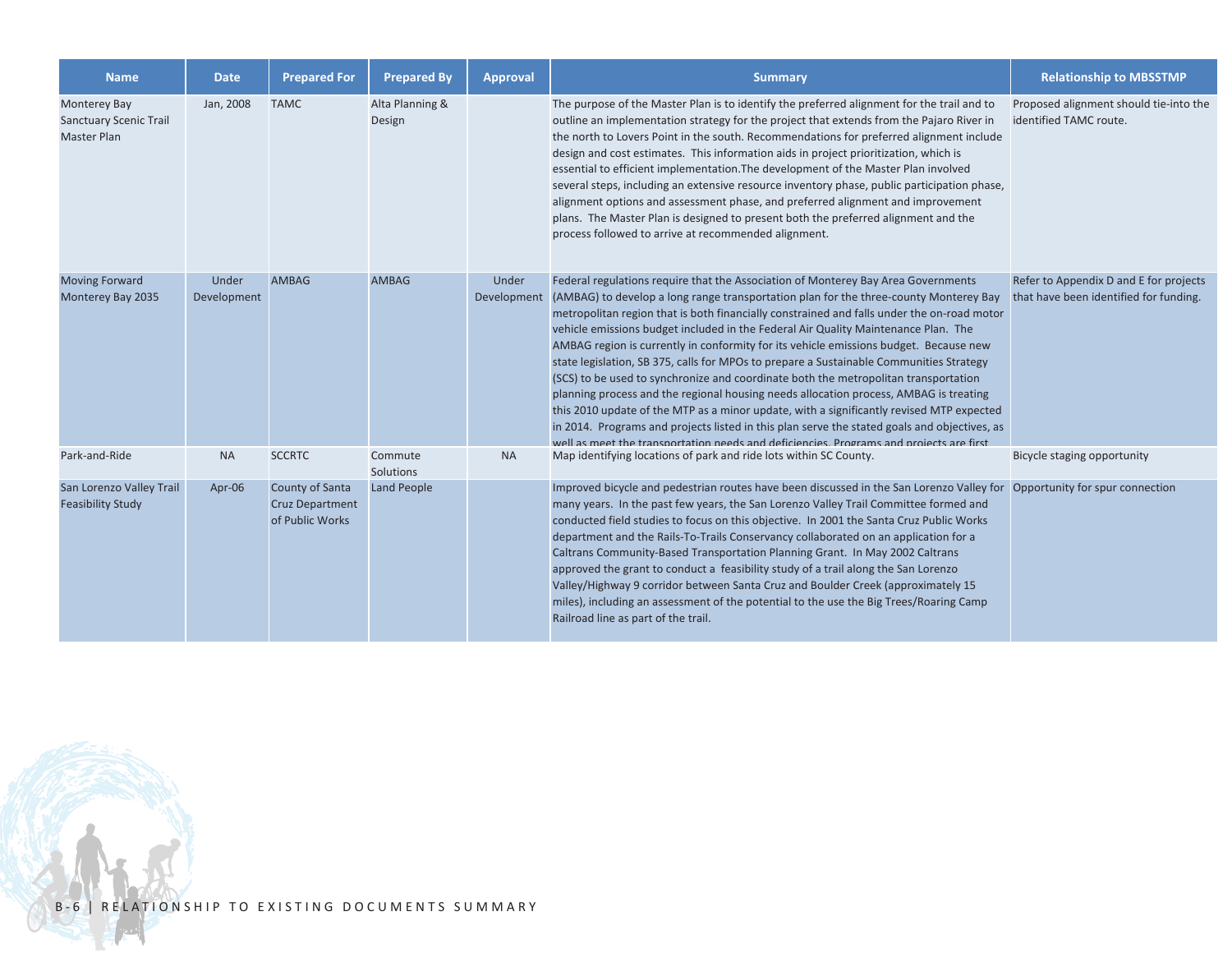| <b>Name</b>                                                         | <b>Date</b>          | <b>Prepared For</b>                                          | <b>Prepared By</b>        | <b>Approval</b> | <b>Summary</b>                                                                                                                                                                                                                                                                                                                                                                                                                                                                                                                                                                                                                                                                                                                                                                                                                                                                                                                                                                                                                        | <b>Relationship to MBSSTMP</b>                                                   |
|---------------------------------------------------------------------|----------------------|--------------------------------------------------------------|---------------------------|-----------------|---------------------------------------------------------------------------------------------------------------------------------------------------------------------------------------------------------------------------------------------------------------------------------------------------------------------------------------------------------------------------------------------------------------------------------------------------------------------------------------------------------------------------------------------------------------------------------------------------------------------------------------------------------------------------------------------------------------------------------------------------------------------------------------------------------------------------------------------------------------------------------------------------------------------------------------------------------------------------------------------------------------------------------------|----------------------------------------------------------------------------------|
| Monterey Bay<br><b>Sanctuary Scenic Trail</b><br><b>Master Plan</b> | Jan, 2008            | <b>TAMC</b>                                                  | Alta Planning &<br>Design |                 | The purpose of the Master Plan is to identify the preferred alignment for the trail and to<br>outline an implementation strategy for the project that extends from the Pajaro River in<br>the north to Lovers Point in the south. Recommendations for preferred alignment include<br>design and cost estimates. This information aids in project prioritization, which is<br>essential to efficient implementation. The development of the Master Plan involved<br>several steps, including an extensive resource inventory phase, public participation phase,<br>alignment options and assessment phase, and preferred alignment and improvement<br>plans. The Master Plan is designed to present both the preferred alignment and the<br>process followed to arrive at recommended alignment.                                                                                                                                                                                                                                       | Proposed alignment should tie-into the<br>identified TAMC route.                 |
| <b>Moving Forward</b><br>Monterey Bay 2035                          | Under<br>Development | <b>AMBAG</b>                                                 | <b>AMBAG</b>              | Under           | Federal regulations require that the Association of Monterey Bay Area Governments<br>Development (AMBAG) to develop a long range transportation plan for the three-county Monterey Bay<br>metropolitan region that is both financially constrained and falls under the on-road motor<br>vehicle emissions budget included in the Federal Air Quality Maintenance Plan. The<br>AMBAG region is currently in conformity for its vehicle emissions budget. Because new<br>state legislation, SB 375, calls for MPOs to prepare a Sustainable Communities Strategy<br>(SCS) to be used to synchronize and coordinate both the metropolitan transportation<br>planning process and the regional housing needs allocation process, AMBAG is treating<br>this 2010 update of the MTP as a minor update, with a significantly revised MTP expected<br>in 2014. Programs and projects listed in this plan serve the stated goals and objectives, as<br>well as meet the transportation needs and deficiencies. Programs and projects are first | Refer to Appendix D and E for projects<br>that have been identified for funding. |
| Park-and-Ride                                                       | <b>NA</b>            | <b>SCCRTC</b>                                                | Commute<br>Solutions      | <b>NA</b>       | Map identifying locations of park and ride lots within SC County.                                                                                                                                                                                                                                                                                                                                                                                                                                                                                                                                                                                                                                                                                                                                                                                                                                                                                                                                                                     | Bicycle staging opportunity                                                      |
| San Lorenzo Valley Trail<br><b>Feasibility Study</b>                | Apr-06               | County of Santa<br><b>Cruz Department</b><br>of Public Works | <b>Land People</b>        |                 | Improved bicycle and pedestrian routes have been discussed in the San Lorenzo Valley for Opportunity for spur connection<br>many years. In the past few years, the San Lorenzo Valley Trail Committee formed and<br>conducted field studies to focus on this objective. In 2001 the Santa Cruz Public Works<br>department and the Rails-To-Trails Conservancy collaborated on an application for a<br>Caltrans Community-Based Transportation Planning Grant. In May 2002 Caltrans<br>approved the grant to conduct a feasibility study of a trail along the San Lorenzo<br>Valley/Highway 9 corridor between Santa Cruz and Boulder Creek (approximately 15<br>miles), including an assessment of the potential to the use the Big Trees/Roaring Camp<br>Railroad line as part of the trail.                                                                                                                                                                                                                                         |                                                                                  |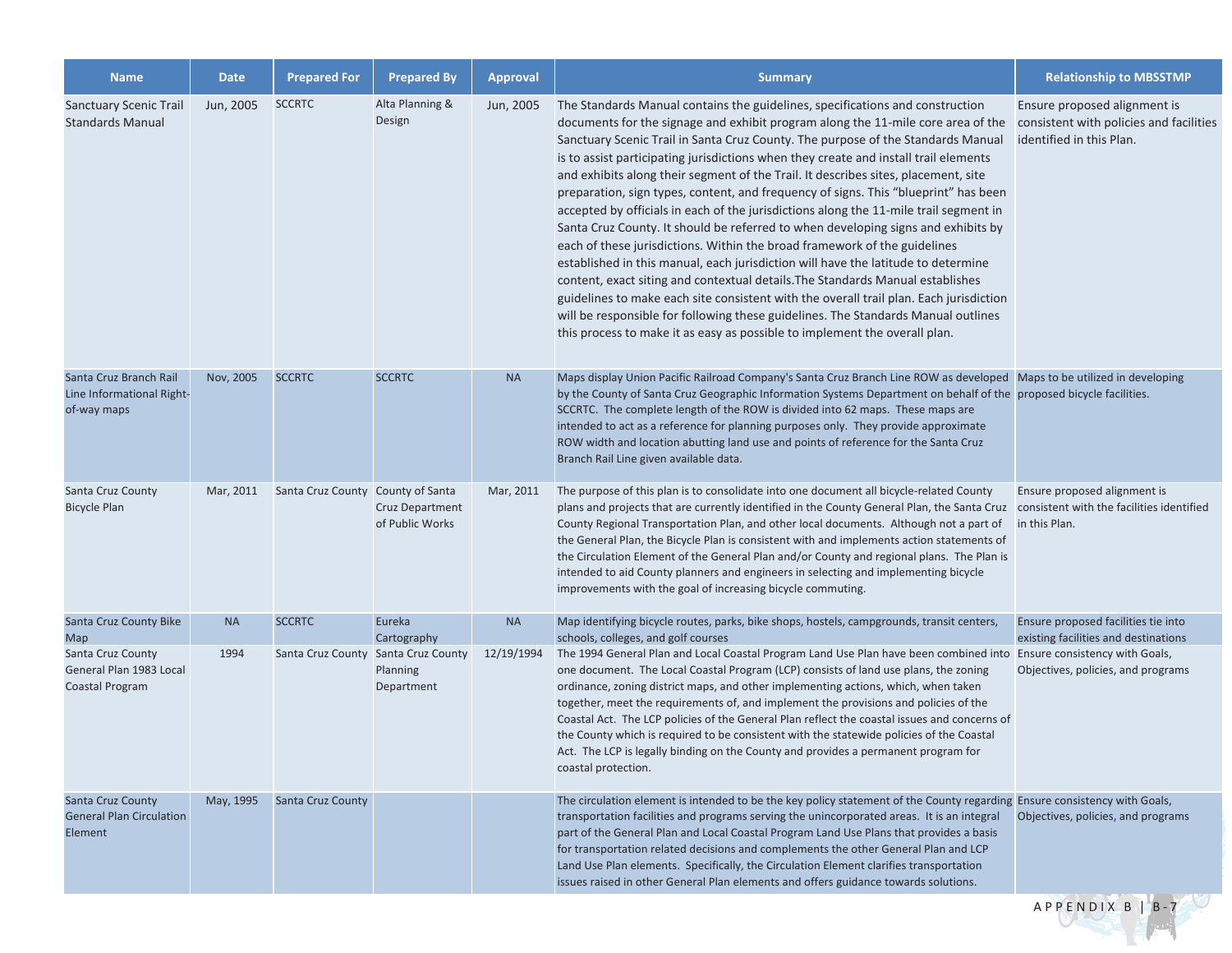| <b>Name</b>                                                            | <b>Date</b> | <b>Prepared For</b>               | <b>Prepared By</b>                                            | <b>Approval</b> | <b>Summary</b>                                                                                                                                                                                                                                                                                                                                                                                                                                                                                                                                                                                                                                                                                                                                                                                                                                                                                                                                                                                                                                                                                                                                                                                                            | <b>Relationship to MBSSTMP</b>                                                                      |
|------------------------------------------------------------------------|-------------|-----------------------------------|---------------------------------------------------------------|-----------------|---------------------------------------------------------------------------------------------------------------------------------------------------------------------------------------------------------------------------------------------------------------------------------------------------------------------------------------------------------------------------------------------------------------------------------------------------------------------------------------------------------------------------------------------------------------------------------------------------------------------------------------------------------------------------------------------------------------------------------------------------------------------------------------------------------------------------------------------------------------------------------------------------------------------------------------------------------------------------------------------------------------------------------------------------------------------------------------------------------------------------------------------------------------------------------------------------------------------------|-----------------------------------------------------------------------------------------------------|
| <b>Sanctuary Scenic Trail</b><br><b>Standards Manual</b>               | Jun, 2005   | <b>SCCRTC</b>                     | Alta Planning &<br>Design                                     | Jun, 2005       | The Standards Manual contains the guidelines, specifications and construction<br>documents for the signage and exhibit program along the 11-mile core area of the<br>Sanctuary Scenic Trail in Santa Cruz County. The purpose of the Standards Manual<br>is to assist participating jurisdictions when they create and install trail elements<br>and exhibits along their segment of the Trail. It describes sites, placement, site<br>preparation, sign types, content, and frequency of signs. This "blueprint" has been<br>accepted by officials in each of the jurisdictions along the 11-mile trail segment in<br>Santa Cruz County. It should be referred to when developing signs and exhibits by<br>each of these jurisdictions. Within the broad framework of the guidelines<br>established in this manual, each jurisdiction will have the latitude to determine<br>content, exact siting and contextual details. The Standards Manual establishes<br>guidelines to make each site consistent with the overall trail plan. Each jurisdiction<br>will be responsible for following these guidelines. The Standards Manual outlines<br>this process to make it as easy as possible to implement the overall plan. | Ensure proposed alignment is<br>consistent with policies and facilities<br>identified in this Plan. |
| Santa Cruz Branch Rail<br>Line Informational Right-<br>of-way maps     | Nov, 2005   | <b>SCCRTC</b>                     | <b>SCCRTC</b>                                                 | <b>NA</b>       | Maps display Union Pacific Railroad Company's Santa Cruz Branch Line ROW as developed   Maps to be utilized in developing<br>by the County of Santa Cruz Geographic Information Systems Department on behalf of the proposed bicycle facilities.<br>SCCRTC. The complete length of the ROW is divided into 62 maps. These maps are<br>intended to act as a reference for planning purposes only. They provide approximate<br>ROW width and location abutting land use and points of reference for the Santa Cruz<br>Branch Rail Line given available data.                                                                                                                                                                                                                                                                                                                                                                                                                                                                                                                                                                                                                                                                |                                                                                                     |
| Santa Cruz County<br><b>Bicycle Plan</b>                               | Mar, 2011   | Santa Cruz County County of Santa | Cruz Department<br>of Public Works                            | Mar, 2011       | The purpose of this plan is to consolidate into one document all bicycle-related County<br>plans and projects that are currently identified in the County General Plan, the Santa Cruz consistent with the facilities identified<br>County Regional Transportation Plan, and other local documents. Although not a part of<br>the General Plan, the Bicycle Plan is consistent with and implements action statements of<br>the Circulation Element of the General Plan and/or County and regional plans. The Plan is<br>intended to aid County planners and engineers in selecting and implementing bicycle<br>improvements with the goal of increasing bicycle commuting.                                                                                                                                                                                                                                                                                                                                                                                                                                                                                                                                                | Ensure proposed alignment is<br>in this Plan.                                                       |
| Santa Cruz County Bike<br><b>Map</b>                                   | <b>NA</b>   | <b>SCCRTC</b>                     | Eureka<br>Cartography                                         | <b>NA</b>       | Map identifying bicycle routes, parks, bike shops, hostels, campgrounds, transit centers,<br>schools, colleges, and golf courses                                                                                                                                                                                                                                                                                                                                                                                                                                                                                                                                                                                                                                                                                                                                                                                                                                                                                                                                                                                                                                                                                          | Ensure proposed facilities tie into<br>existing facilities and destinations                         |
| Santa Cruz County<br>General Plan 1983 Local<br>Coastal Program        | 1994        |                                   | Santa Cruz County Santa Cruz County<br>Planning<br>Department | 12/19/1994      | The 1994 General Plan and Local Coastal Program Land Use Plan have been combined into<br>one document. The Local Coastal Program (LCP) consists of land use plans, the zoning<br>ordinance, zoning district maps, and other implementing actions, which, when taken<br>together, meet the requirements of, and implement the provisions and policies of the<br>Coastal Act. The LCP policies of the General Plan reflect the coastal issues and concerns of<br>the County which is required to be consistent with the statewide policies of the Coastal<br>Act. The LCP is legally binding on the County and provides a permanent program for<br>coastal protection.                                                                                                                                                                                                                                                                                                                                                                                                                                                                                                                                                      | Ensure consistency with Goals,<br>Objectives, policies, and programs                                |
| <b>Santa Cruz County</b><br><b>General Plan Circulation</b><br>Element | May, 1995   | <b>Santa Cruz County</b>          |                                                               |                 | The circulation element is intended to be the key policy statement of the County regarding Ensure consistency with Goals,<br>transportation facilities and programs serving the unincorporated areas. It is an integral<br>part of the General Plan and Local Coastal Program Land Use Plans that provides a basis<br>for transportation related decisions and complements the other General Plan and LCP<br>Land Use Plan elements. Specifically, the Circulation Element clarifies transportation<br>issues raised in other General Plan elements and offers guidance towards solutions.                                                                                                                                                                                                                                                                                                                                                                                                                                                                                                                                                                                                                                | Objectives, policies, and programs                                                                  |
|                                                                        |             |                                   |                                                               |                 |                                                                                                                                                                                                                                                                                                                                                                                                                                                                                                                                                                                                                                                                                                                                                                                                                                                                                                                                                                                                                                                                                                                                                                                                                           | APPENDIX B   B-7                                                                                    |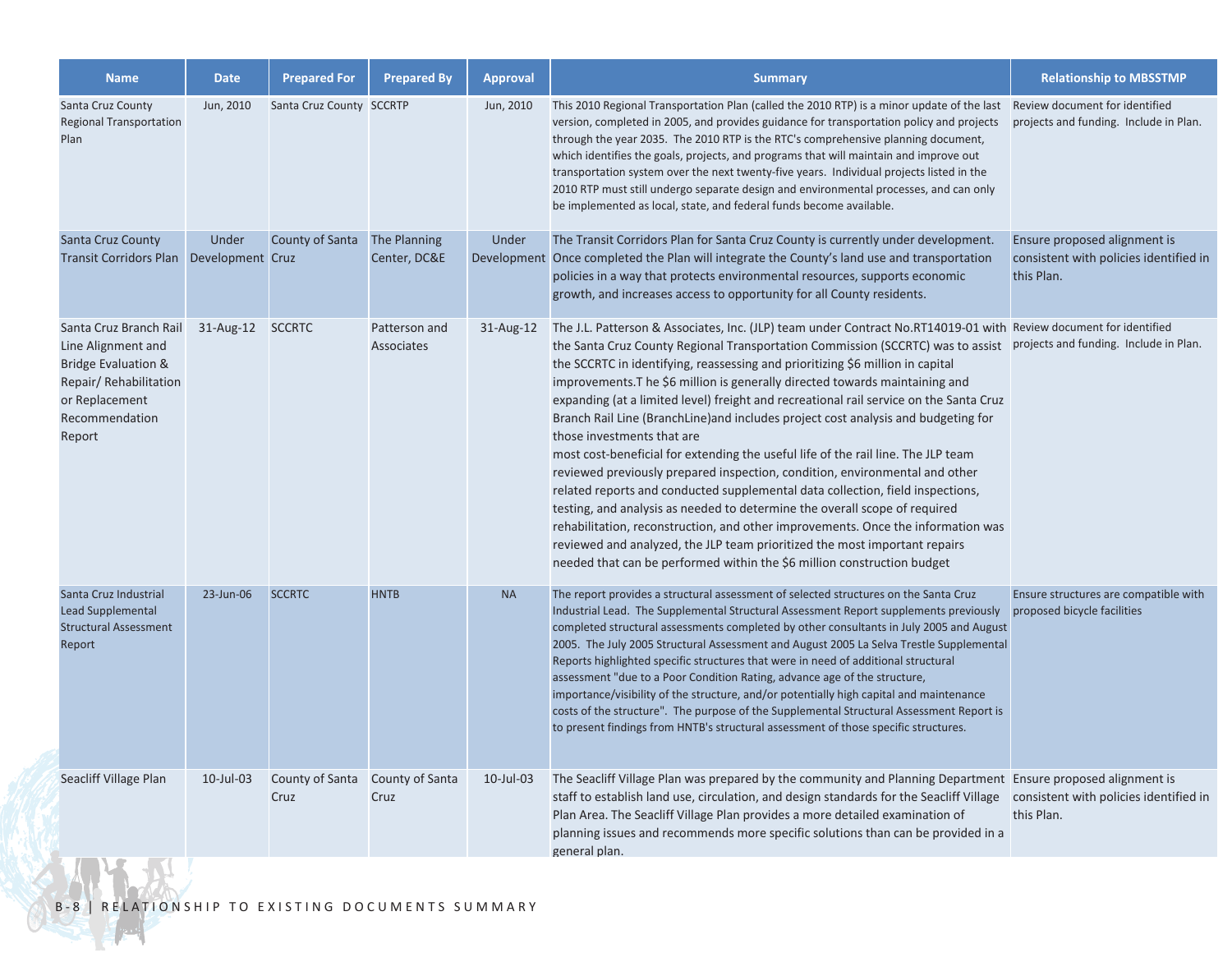| <b>Name</b>                                                                                                                                           | <b>Date</b> | <b>Prepared For</b>      | <b>Prepared By</b>           | <b>Approval</b> | <b>Summary</b>                                                                                                                                                                                                                                                                                                                                                                                                                                                                                                                                                                                                                                                                                                                                                                                                                                                                                                                                                                                                                                                                                                                                                       | <b>Relationship to MBSSTMP</b>                                                       |
|-------------------------------------------------------------------------------------------------------------------------------------------------------|-------------|--------------------------|------------------------------|-----------------|----------------------------------------------------------------------------------------------------------------------------------------------------------------------------------------------------------------------------------------------------------------------------------------------------------------------------------------------------------------------------------------------------------------------------------------------------------------------------------------------------------------------------------------------------------------------------------------------------------------------------------------------------------------------------------------------------------------------------------------------------------------------------------------------------------------------------------------------------------------------------------------------------------------------------------------------------------------------------------------------------------------------------------------------------------------------------------------------------------------------------------------------------------------------|--------------------------------------------------------------------------------------|
| Santa Cruz County<br><b>Regional Transportation</b><br>Plan                                                                                           | Jun, 2010   | Santa Cruz County SCCRTP |                              | Jun, 2010       | This 2010 Regional Transportation Plan (called the 2010 RTP) is a minor update of the last Review document for identified<br>version, completed in 2005, and provides guidance for transportation policy and projects<br>through the year 2035. The 2010 RTP is the RTC's comprehensive planning document,<br>which identifies the goals, projects, and programs that will maintain and improve out<br>transportation system over the next twenty-five years. Individual projects listed in the<br>2010 RTP must still undergo separate design and environmental processes, and can only<br>be implemented as local, state, and federal funds become available.                                                                                                                                                                                                                                                                                                                                                                                                                                                                                                      | projects and funding. Include in Plan.                                               |
| Santa Cruz County<br>Transit Corridors Plan Development Cruz                                                                                          | Under       | County of Santa          | The Planning<br>Center, DC&E | Under           | The Transit Corridors Plan for Santa Cruz County is currently under development.<br>Development Once completed the Plan will integrate the County's land use and transportation<br>policies in a way that protects environmental resources, supports economic<br>growth, and increases access to opportunity for all County residents.                                                                                                                                                                                                                                                                                                                                                                                                                                                                                                                                                                                                                                                                                                                                                                                                                               | Ensure proposed alignment is<br>consistent with policies identified in<br>this Plan. |
| Santa Cruz Branch Rail<br>Line Alignment and<br><b>Bridge Evaluation &amp;</b><br>Repair/Rehabilitation<br>or Replacement<br>Recommendation<br>Report | 31-Aug-12   | <b>SCCRTC</b>            | Patterson and<br>Associates  | 31-Aug-12       | The J.L. Patterson & Associates, Inc. (JLP) team under Contract No.RT14019-01 with Review document for identified<br>the Santa Cruz County Regional Transportation Commission (SCCRTC) was to assist<br>the SCCRTC in identifying, reassessing and prioritizing \$6 million in capital<br>improvements. The \$6 million is generally directed towards maintaining and<br>expanding (at a limited level) freight and recreational rail service on the Santa Cruz<br>Branch Rail Line (BranchLine) and includes project cost analysis and budgeting for<br>those investments that are<br>most cost-beneficial for extending the useful life of the rail line. The JLP team<br>reviewed previously prepared inspection, condition, environmental and other<br>related reports and conducted supplemental data collection, field inspections,<br>testing, and analysis as needed to determine the overall scope of required<br>rehabilitation, reconstruction, and other improvements. Once the information was<br>reviewed and analyzed, the JLP team prioritized the most important repairs<br>needed that can be performed within the \$6 million construction budget | projects and funding. Include in Plan.                                               |
| Santa Cruz Industrial<br>Lead Supplemental<br><b>Structural Assessment</b><br>Report                                                                  | 23-Jun-06   | <b>SCCRTC</b>            | <b>HNTB</b>                  | <b>NA</b>       | The report provides a structural assessment of selected structures on the Santa Cruz<br>Industrial Lead. The Supplemental Structural Assessment Report supplements previously<br>completed structural assessments completed by other consultants in July 2005 and August<br>2005. The July 2005 Structural Assessment and August 2005 La Selva Trestle Supplemental<br>Reports highlighted specific structures that were in need of additional structural<br>assessment "due to a Poor Condition Rating, advance age of the structure,<br>importance/visibility of the structure, and/or potentially high capital and maintenance<br>costs of the structure". The purpose of the Supplemental Structural Assessment Report is<br>to present findings from HNTB's structural assessment of those specific structures.                                                                                                                                                                                                                                                                                                                                                 | Ensure structures are compatible with<br>proposed bicycle facilities                 |
| Seacliff Village Plan                                                                                                                                 | 10-Jul-03   | County of Santa<br>Cruz  | County of Santa<br>Cruz      | $10$ -Jul-03    | The Seacliff Village Plan was prepared by the community and Planning Department Ensure proposed alignment is<br>staff to establish land use, circulation, and design standards for the Seacliff Village consistent with policies identified in<br>Plan Area. The Seacliff Village Plan provides a more detailed examination of<br>planning issues and recommends more specific solutions than can be provided in a<br>general plan.                                                                                                                                                                                                                                                                                                                                                                                                                                                                                                                                                                                                                                                                                                                                  | this Plan.                                                                           |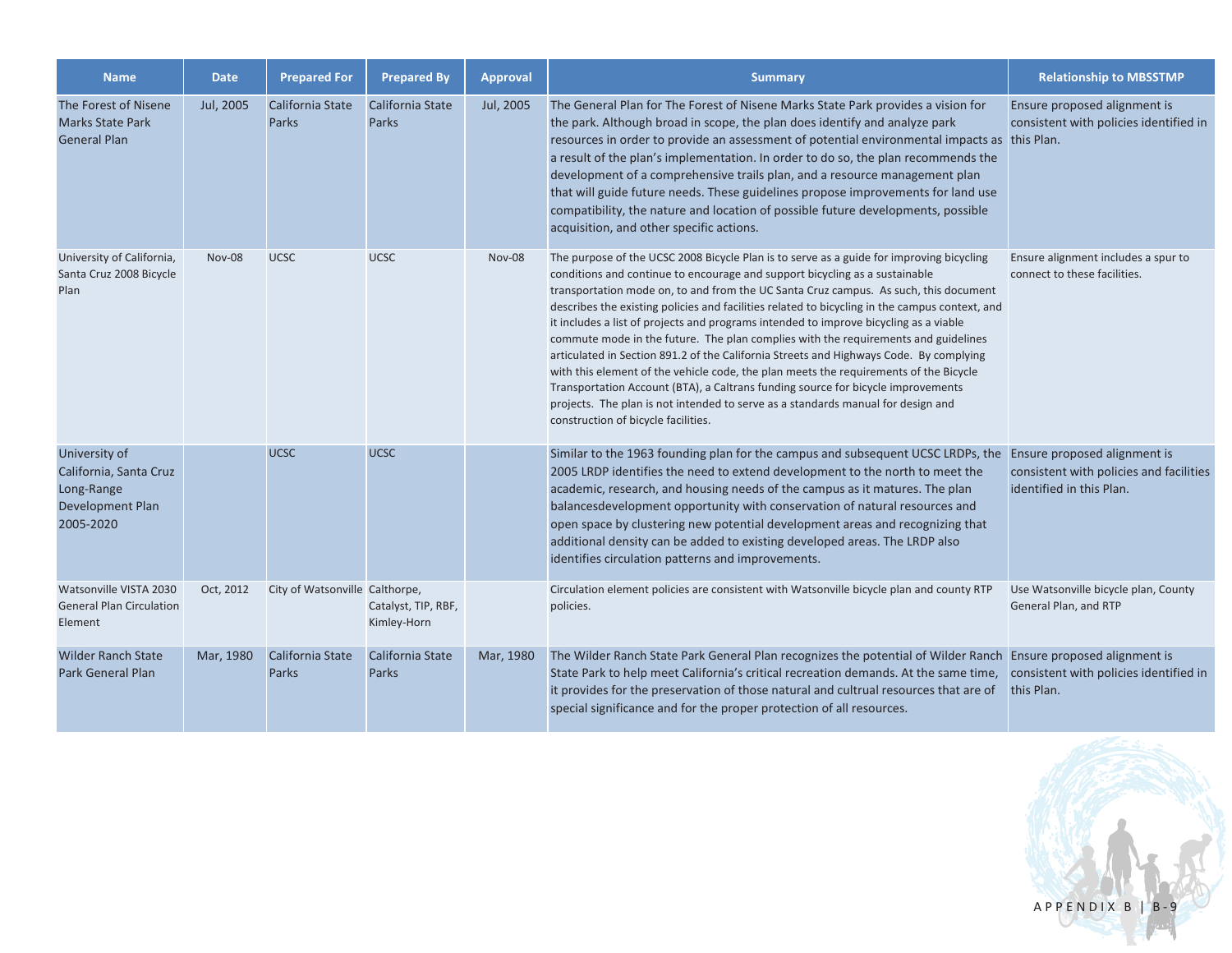| <b>Name</b>                                                                            | <b>Date</b>   | <b>Prepared For</b>            | <b>Prepared By</b>                 | <b>Approval</b> | <b>Summary</b>                                                                                                                                                                                                                                                                                                                                                                                                                                                                                                                                                                                                                                                                                                                                                                                                                                                                                                                                     | <b>Relationship to MBSSTMP</b>                                                                      |
|----------------------------------------------------------------------------------------|---------------|--------------------------------|------------------------------------|-----------------|----------------------------------------------------------------------------------------------------------------------------------------------------------------------------------------------------------------------------------------------------------------------------------------------------------------------------------------------------------------------------------------------------------------------------------------------------------------------------------------------------------------------------------------------------------------------------------------------------------------------------------------------------------------------------------------------------------------------------------------------------------------------------------------------------------------------------------------------------------------------------------------------------------------------------------------------------|-----------------------------------------------------------------------------------------------------|
| The Forest of Nisene<br><b>Marks State Park</b><br><b>General Plan</b>                 | Jul, 2005     | California State<br>Parks      | California State<br>Parks          | Jul, 2005       | The General Plan for The Forest of Nisene Marks State Park provides a vision for<br>the park. Although broad in scope, the plan does identify and analyze park<br>resources in order to provide an assessment of potential environmental impacts as this Plan.<br>a result of the plan's implementation. In order to do so, the plan recommends the<br>development of a comprehensive trails plan, and a resource management plan<br>that will guide future needs. These guidelines propose improvements for land use<br>compatibility, the nature and location of possible future developments, possible<br>acquisition, and other specific actions.                                                                                                                                                                                                                                                                                              | Ensure proposed alignment is<br>consistent with policies identified in                              |
| University of California,<br>Santa Cruz 2008 Bicycle<br>Plan                           | <b>Nov-08</b> | <b>UCSC</b>                    | <b>UCSC</b>                        | <b>Nov-08</b>   | The purpose of the UCSC 2008 Bicycle Plan is to serve as a guide for improving bicycling<br>conditions and continue to encourage and support bicycling as a sustainable<br>transportation mode on, to and from the UC Santa Cruz campus. As such, this document<br>describes the existing policies and facilities related to bicycling in the campus context, and<br>it includes a list of projects and programs intended to improve bicycling as a viable<br>commute mode in the future. The plan complies with the requirements and guidelines<br>articulated in Section 891.2 of the California Streets and Highways Code. By complying<br>with this element of the vehicle code, the plan meets the requirements of the Bicycle<br>Transportation Account (BTA), a Caltrans funding source for bicycle improvements<br>projects. The plan is not intended to serve as a standards manual for design and<br>construction of bicycle facilities. | Ensure alignment includes a spur to<br>connect to these facilities.                                 |
| University of<br>California, Santa Cruz<br>Long-Range<br>Development Plan<br>2005-2020 |               | <b>UCSC</b>                    | <b>UCSC</b>                        |                 | Similar to the 1963 founding plan for the campus and subsequent UCSC LRDPs, the<br>2005 LRDP identifies the need to extend development to the north to meet the<br>academic, research, and housing needs of the campus as it matures. The plan<br>balancesdevelopment opportunity with conservation of natural resources and<br>open space by clustering new potential development areas and recognizing that<br>additional density can be added to existing developed areas. The LRDP also<br>identifies circulation patterns and improvements.                                                                                                                                                                                                                                                                                                                                                                                                   | Ensure proposed alignment is<br>consistent with policies and facilities<br>identified in this Plan. |
| Watsonville VISTA 2030<br><b>General Plan Circulation</b><br>Element                   | Oct, 2012     | City of Watsonville Calthorpe, | Catalyst, TIP, RBF,<br>Kimley-Horn |                 | Circulation element policies are consistent with Watsonville bicycle plan and county RTP<br>policies.                                                                                                                                                                                                                                                                                                                                                                                                                                                                                                                                                                                                                                                                                                                                                                                                                                              | Use Watsonville bicycle plan, County<br>General Plan, and RTP                                       |
| <b>Wilder Ranch State</b><br><b>Park General Plan</b>                                  | Mar, 1980     | California State<br>Parks      | California State<br><b>Parks</b>   | Mar, 1980       | The Wilder Ranch State Park General Plan recognizes the potential of Wilder Ranch Ensure proposed alignment is<br>State Park to help meet California's critical recreation demands. At the same time,<br>it provides for the preservation of those natural and cultrual resources that are of<br>special significance and for the proper protection of all resources.                                                                                                                                                                                                                                                                                                                                                                                                                                                                                                                                                                              | consistent with policies identified in<br>this Plan.                                                |